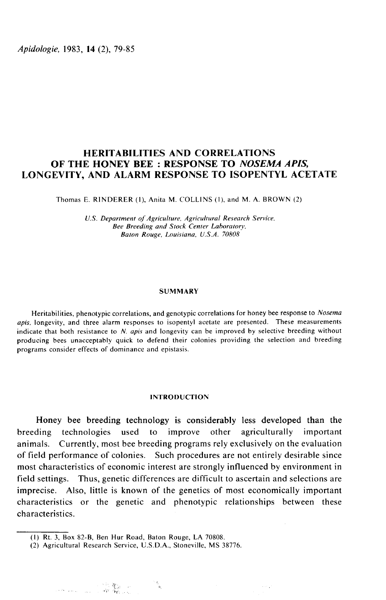Apidologie, 1983, 14 (2), 79-85

# HERITABILITIES AND CORRELATIONS OF THE HONEY BEE: RESPONSE TO NOSEMA APIS. LONGEVITY, AND ALARM RESPONSE TO ISOPENTYL ACETATE

Thomas E. RINDERER (1), Anita M. COLLINS (1), and M. A. BROWN

U.S. Department of Agriculture, Agricultural Research Service. Bee Breeding and Stock Center Baton Rouge, Louisiana, U.S.A. 70808. i (1), and N<br>Iral Researc<br>Laboratory.<br>.A. 70808

#### SUMMARY

Heritabilities, phenotypic correlations, and genotypic correlations for honey bee response to Nosema apis, longevity, and three alarm responses to isopentyl acetate are presented. These measurements indicate that both resistance to  $N$ . apis and longevity can be improved by selective breeding without producing bees unacceptably quick to defend their colonies providing the selection and breeding programs consider effects of dominance and epistasis.

# INTRODUCTION

Honey bee breeding technology is considerably less developed than the breeding technologies used to improve other agriculturally important animals. Currently, most bee breeding programs rely exclusively on the evaluation of field performance of colonies. Such procedures are not entirely desirable since most characteristics of economic interest are strongly influenced by environment in field settings. Thus, genetic differences are difficult to ascertain and selections are imprecise. Also, little is known of the genetics of most economically important characteristics or the genetic and phenotypic relationships between these characteristics.

<sup>(</sup>I) Rt. 3, Box 82-B, Ben Hur Road, Baton Rouge, LA 70808.

<sup>(2)</sup> Agricultural Research Service, U.S.D.A., Stoneville, MS 38776.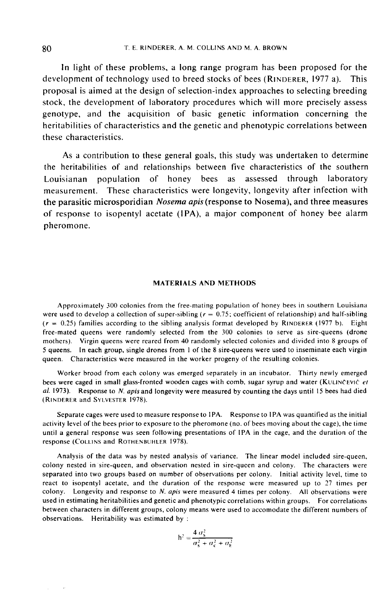In light of these problems, a long range program has been proposed for the T. E. RINDERER, A. M. COLLINS AND M. A. BROWN<br>
In light of these problems, a long range program has been proposed for the<br>
development of technology used to breed stocks of bees (RINDERER, 1977 a). This<br>
proposal is aimed stock, the development of laboratory procedures which will more precisely assess genotype, and the acquisition of basic genetic information concerning the heritabilities of characteristics and the genetic and phenotypic correlations between these characteristics.

As a contribution to these general goals, this study was undertaken to determine the heritabilities of and relationships between five characteristics of the southern Louisianan population of honey bees as assessed through laboratory measurement. These characteristics were longevity, longevity after infection with the parasitic microsporidian *Nosema apis* (response to Nosema), and three measures of response to isopentyl acetate (IPA), a major component of honey bee alarm pheromone.

## MATERIALS AND METHODS

Approximately 300 colonies from the free-mating population of honey bees in southern Louisiana were used to develop a collection of super-sibling ( $r = 0.75$ ; coefficient of relationship) and half-sibling ( $r = 0.25$ ) families according to the sibling analysis format developed by RINDERER (1977 b). Eight (respectively) Approximately 300 colonies from the free-mating population of honey bees in southern Louisiana<br>were used to develop a collection of super-sibling  $(r = 0.75)$ ; coefficient of relationship) and half-sibling<br> $(r$ free-mated queens were randomly selected from the 300 colonies to serve as sire-queens (drone mothers). Virgin queens were randomly selected Holm the 350 colones to street as sheequeens (about<br>mothers). Virgin queens were reared from 40 randomly selected colonies and divided into 8 groups of<br>5 queens. In each group 5 queens. In each group, single drones from I of the 8 sire-queens were used to inseminate each virgin queen. Characteristics were measured in the worker progeny of the resulting colonies.

al. 1973). Response to *N. apis* and longevity were measured by counting the days until 15 bees had died queen. Characteristics were measurement<br>
Worker brood from each co<br>
bees were caged in small glass-free<br> *al.* 1973). Response to *N. apis* at<br>
(RINDERER and SYLVESTER 1978).

Separate cages were used to measure response to IPA. Response to IPA was quantified as the initial activity level of the bees prior to exposure to the pheromone (no. of bees moving about the cage), the time until a general response was seen following presentations of IPA in the cage, and the duration of the response (COLLINS and ROTHENBUHLER 1978).

Analysis of the data was by nested analysis of variance. The linear model included sire-queen, colony nested in sire-queen, and observation nested in sire-queen and colony. The characters were separated into two groups based on number of observations per colony. Initial activity level, time to react to isopentyl acetate, and the duration of the response were measured up to 27 times per colony. Longevity and response to  $N$ . apis were measured 4 times per colony. All observations were used in estimating heritabilities and genetic and phenotypic correlations within groups. For correlations between characters in different groups, colony means were used to accomodate the different numbers of observations. Heritability was estimated by :

$$
h^2 = \frac{4 \sigma_s^2}{\sigma_s^2 + \sigma_c^2 + \sigma_E^2}
$$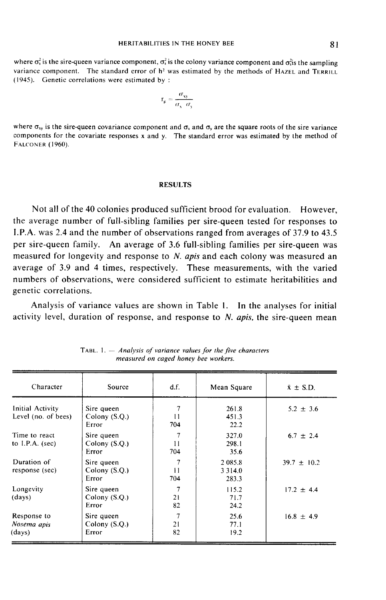where  $\sigma_s$  is the sire-queen variance component,  $\sigma_s$  is the colony variance component and  $\sigma_s$  is the sampling **HERITABILITIES IN THE HONEY BEE** 81<br>where  $\sigma_s^2$  is the sire-queen variance component,  $\sigma_s^2$  is the colony variance component and  $\sigma_s^2$  is the sampling<br>variance component. The standard error of h<sup>2</sup> was estimated by (1945). Genetic correlations were estimated by :

$$
\mathbf{r}_{\mathbf{g}} = \frac{\sigma_{\mathbf{xy}}}{\sigma_{\mathbf{x}} \cdot \sigma_{\mathbf{y}}}
$$

where  $\sigma_{xy}$  is the sire-queen covariance component and  $\sigma_x$  and  $\sigma_y$  are the square roots of the sire variance components for the covariate responses x and y. The standard error was estimated by the method of FALCONER (1960).

## RESULTS

Not all of the 40 colonies produced sufficient brood for evaluation. However, the average number of full-sibling families per sire-queen tested for responses to I.P.A. was 2.4 and the number of observations ranged from averages of 37.9 to 43.5 per sire-queen family. An average of 3.6 full-sibling families per sire-queen was measured for longevity and response to N. apis and each colony was measured an average of 3.9 and 4 times, respectively. These measurements, with the varied numbers of observations, were considered sufficient to estimate heritabilities and genetic correlations.

Analysis of variance values are shown in Table l. In the analyses for initial activity level, duration of response, and response to  $N$ . apis, the sire-queen mean

| Character                               | <b>Source</b>                          | df.                                   | Mean Square                    | $\bar{x} \pm$ S.D. |
|-----------------------------------------|----------------------------------------|---------------------------------------|--------------------------------|--------------------|
| Initial Activity<br>Level (no. of bees) | Sire queen<br>Colony $(S.Q.)$<br>Error | $\overline{7}$<br>$\mathbf{1}$<br>704 | 261.8<br>451.3<br>22.2         | $5.2 \pm 3.6$      |
| Time to react<br>to I.P.A. $(sec)$      | Sire queen<br>Colony $(S.O.)$<br>Error | $\overline{7}$<br>11<br>704           | 327.0<br>298.1<br>35.6         | $6.7 \pm 2.4$      |
| Duration of<br>response (sec)           | Sire queen<br>Colony (S.Q.)<br>Error   | $\mathbf{1}$<br>704                   | 2 085.8<br>3 3 1 4 .0<br>283.3 | $39.7 \pm 10.2$    |
| Longevity<br>(days)                     | Sire queen<br>Colony $(S.Q.)$<br>Error | 7<br>21<br>82                         | 115.2<br>71.7<br>24.2          | $17.2 \pm 4.4$     |
| Response to<br>Nosema apis<br>(days)    | Sire queen<br>Colony $(S.Q.)$<br>Error | 7<br>21<br>82                         | 25.6<br>77.1<br>19.2           | $16.8 \pm 4.9$     |

TABL. 1.  $-$  Analysis of variance values for the five characters measured on caged honey bee workers.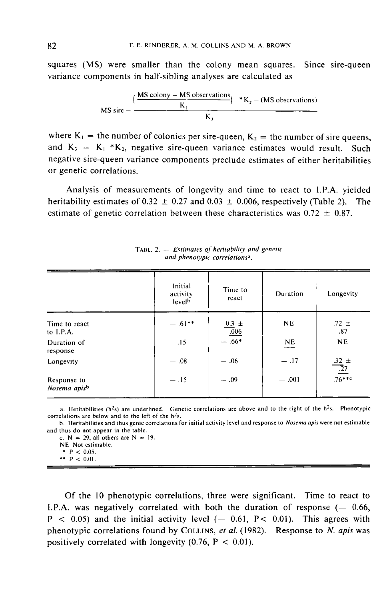squares (MS) were smaller than the colony mean squares. Since sire-queen variance components in half-sibling analyses are calculated as

$$
\mathsf{MS}\,\mathsf{sire} - \frac{(\frac{\mathsf{MS}\,\mathsf{colony} - \mathsf{MS}\,\mathsf{observations}}{\mathsf{K}_1})}{\mathsf{K}_3} + \mathsf{K}_2 - (\mathsf{MS}\,\mathsf{observations})
$$

where  $K_1$  = the number of colonies per sire-queen,  $K_2$  = the number of sire queens,<br>and  $K_3 = K_1 * K_2$ , negative sire-queen variance estimates would result. Such negative sire-queen variance components preclude estimates of either heritabilities or genetic correlations.

Analysis of measurements of longevity and time to react to I.P.A. yielded heritability estimates of 0.32  $\pm$  0.27 and 0.03  $\pm$  0.006, respectively (Table 2). The estimate of genetic correlation between these characteristics was  $0.72 \pm 0.87$ .

|                                         | Initial<br>activity<br>level <sup>b</sup> | Time to<br>react   | Duration                | Longevity                      |
|-----------------------------------------|-------------------------------------------|--------------------|-------------------------|--------------------------------|
| Time to react<br>to $I.P.A.$            | $-.61***$                                 | $\frac{0.3}{0.06}$ | <b>NE</b>               | $.72 \pm$<br>.87               |
| Duration of<br>response                 | .15                                       | $-.66*$            | $\underline{\hbox{NE}}$ | <b>NE</b>                      |
| Longevity                               | $-.08$                                    | $-.06$             | $-.17$                  | $\frac{.32 \pm}{.27 \pm 0.76}$ |
| Response to<br>Nosema apis <sup>b</sup> | $-.15$                                    | $-.09$             | $-.001$                 |                                |

TABL. 2. - Estimates of heritability and genetic and phenotypic correlations<sup>a</sup>.

a. Heritabilities ( $h^2$ s) are underlined. Genetic correlations are above and to the right of the  $h^2$ s. Phenotypic correlations are below and to the left of the  $h<sup>2</sup>s$ .

b. Heritabilities and thus genic correlations for initial activity level and response to Nosema apis were not estimable and thus do not appear in the table.

c.  $N = 29$ , all others are  $N = 19$ .

NE Not estimable.

\*  $P$  < 0.05. \*\*  $P < 0.01$ .

Of the 10 phenotypic correlations, three were significant. Time to react to I.P.A. was negatively correlated with both the duration of response  $(-0.66,$  $P < 0.05$  and the initial activity level  $(-0.61, P < 0.01)$ . This agrees with Of the 10 phenotypic correlations, three were significant. Time to react to I.P.A. was negatively correlated with both the duration of response  $(-0.66, P < 0.05)$  and the initial activity level  $(-0.61, P < 0.01)$ . This agrees positively correlated with longevity  $(0.76, P < 0.01)$ .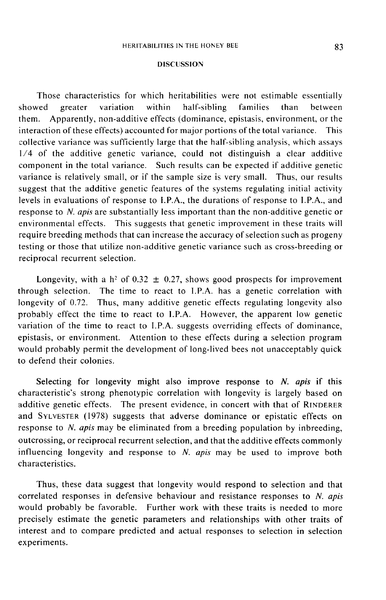## DISCUSSION

Those characteristics for which heritabilities were not estimable essentially showed greater variation within half-sibling families than between them. Apparently, non-additive effects (dominance, epistasis, environment, or the interaction of these effects) accounted for major portions of the total variance. This collective variance was sufficiently large that the half-sibling analysis, which assays 1/4 of the additive genetic variance, could not distinguish a clear additive component in the total variance. Such results can be expected if additive genetic variance is relatively small, or if the sample size is very small. Thus, our results suggest that the additive genetic features of the systems regulating initial activity levels in evaluations of response to I.P.A., the durations of response to I.P.A., and response to N. apis are substantially less important than the non-additive genetic or environmental effects. This suggests that genetic improvement in these traits will require breeding methods that can increase the accuracy of selection such as progeny testing or those that utilize non-additive genetic variance such as cross-breeding or reciprocal recurrent selection.

Longevity, with a h<sup>2</sup> of 0.32  $\pm$  0.27, shows good prospects for improvement through selection. The time to react to I.P.A. has a genetic correlation with longevity of 0.72. Thus, many additive genetic effects regulating longevity also probably effect the time to react to I.P.A. However, the apparent low genetic variation of the time to react to I.P.A. suggests overriding effects of dominance, epistasis, or environment. Attention to these effects during a selection program would probably permit the development of long-lived bees not unacceptably quick to defend their colonies.

Selecting for longevity might also improve response to  $N$ . apis if this characteristic's strong phenotypic correlation with longevity is largely based on to defend their colonies.<br>Selecting for longevity might also improve response to *N. apis* if this<br>characteristic's strong phenotypic correlation with longevity is largely based on<br>additive genetic effects. The present evi and SYLVESTER (1978) suggests that adverse dominance or epistatic effects on response to *N. apis* may be eliminated from a breeding population by inbreeding, outcrossing, or reciprocal recurrent selection, and that the additive effects commonly influencing longevity and response to  $N$ . apis may be used to improve both characteristics.

Thus, these data suggest that longevity would respond to selection and that correlated responses in defensive behaviour and resistance responses to N. apis would probably be favorable. Further work with these traits is needed to more precisely estimate the genetic parameters and relationships with other traits of interest and to compare predicted and actual responses to selection in selection experiments.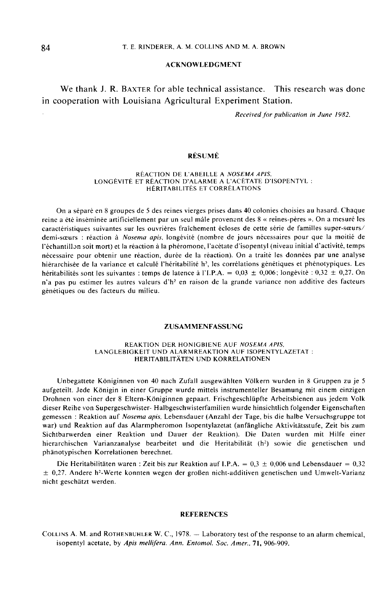## ACKNOWLEDGMENT

We thank J. R. BAXTER for able technical assistance. This research was done in cooperation with Louisiana Agricultural Experiment Station.

. Received for publication in June 1982.

## RÉSUMÉ

#### RÉACTION DE L'ABEILLE A NOSEMA APIS, LONGÉVITÉ ET RÉACTION D'ALARME A L'ACÉTATE D'ISOPENTYL : HÉRITABILITÉS ET CORRÉLATIONS

On a séparé en 8 groupes de 5 des reines vierges prises dans 40 colonies choisies au hasard. Chaque reine a été inséminée artificiellement par un seul mâle provenant des 8 « reines-pères ». On a mesuré les caractéristiques suivantes sur les ouvrières fraîchement écloses de cette série de familles super-sœurs/ demi-sœurs : réaction à Nosema apis, longévité (nombre de jours nécessaires pour que la moitié de l'échantillJn soit mort) et la réaction à la phéromone, l'acétate d'isopentyl (niveau initial d'activité, temps nécessaire pour obtenir une réaction, durée de la réaction). On a traité les données par une analyse hiérarchisée de la variance et calculé l'héritabilité h<sup>2</sup>, les corrélations génétiques et phénotypiques. Les héritabilités sont les suivantes : temps de latence à l'I.P.A. =  $0.03 \pm 0.006$ ; longévité :  $0.32 \pm 0.27$ . On n'a pas pu estimer les autres valeurs d'h<sup>2</sup> en raison de la grande variance non additive des facteurs génétiques ou des facteurs du milieu.

#### ZUSAMMENFASSUNG

#### REAKTION DER HONIGBIENE AUF NOSEMA APlS, LANGLEBIGKEIT UND ALARMREAKTION AUF ISOPENTYLAZETAT' : HERITABILITÄTEN UND KORRELATIONEN

Unbegattete Königinnen von 40 nach Zufall ausgewählten Völkern wurden in 8 Gruppen zu je 5 aufgeteilt. Jede Königin in einer Gruppe wurde mittels instrumenteller Besamung mit einem einzigen Drohnen von einer der 8 Eltern-Königinnen gepaart. Frischgeschlüpfte Arbeitsbienen aus jedem Volk dieser Reihe von Supergeschwister- Halbgeschwisterfamilien wurde hinsichtlich folgender Eigenschaften gemessen : Reaktion auf *Nosema apis*, Lebensdauer (Anzahl der Tage, bis die halbe Versuchsgruppe tot war) und Reaktion auf das Alarmpheromon Isopentylazetat (anfängliche Aktivitätsstufe, Zeit bis zum Sichtbarwerden einer Reaktion und Dauer der Reaktion). Die Daten wurden mit Hilfe einer hierarchischen Varianzanalyse bearbeitet und die Heritabilität (h<sup>2</sup>) sowie die genetischen und phänotypischen Korrelationen berechnet.

Die Heritabilitäten waren : Zeit bis zur Reaktion auf I.P.A. =  $0.3 \pm 0.006$  und Lebensdauer =  $0.32$ hierarchischen Varianzanalyse bearbeitet und die Heritabilität (h<sup>2</sup>) sowie die genetischen und<br>phänotypischen Korrelationen berechnet.<br>Die Heritabilitäten waren : Zeit bis zur Reaktion auf I.P.A. = 0,3 ± 0,006 und Lebens nicht geschätzt werden.

#### **REFERENCES**

 $E = 0.27$ . Andere n--weite Konnten wegen der groben ment-additiven genetischen und Oniwen-Varianz<br>nicht geschätzt werden.<br>COLLINS A. M. and ROTHENBUHLER W. C., 1978. -- Laboratory test of the response to an alarm chemical isopentyl acetate, by Apis mellifera. Ann. Entomol. Soc. Amer., 71, 906-909.